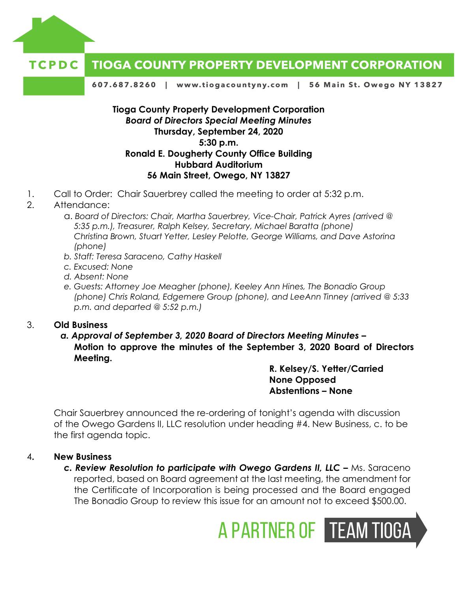

#### **TIOGA COUNTY PROPERTY DEVELOPMENT CORPORATION** TCPDC

607.687.8260 | www.tiogacountyny.com | 56 Main St. Owego NY 13827

## **Tioga County Property Development Corporation** *Board of Directors Special Meeting Minutes*  **Thursday, September 24, 2020 5:30 p.m. Ronald E. Dougherty County Office Building Hubbard Auditorium 56 Main Street, Owego, NY 13827**

- 1. Call to Order: Chair Sauerbrey called the meeting to order at 5:32 p.m.
- 2. Attendance:
	- a. *Board of Directors: Chair, Martha Sauerbrey, Vice-Chair, Patrick Ayres (arrived @ 5:35 p.m.), Treasurer, Ralph Kelsey, Secretary, Michael Baratta (phone) Christina Brown, Stuart Yetter, Lesley Pelotte, George Williams, and Dave Astorina (phone)*
	- *b. Staff: Teresa Saraceno, Cathy Haskell*
	- *c. Excused: None*
	- *d. Absent: None*
	- *e. Guests: Attorney Joe Meagher (phone), Keeley Ann Hines, The Bonadio Group (phone) Chris Roland, Edgemere Group (phone), and LeeAnn Tinney (arrived @ 5:33 p.m. and departed @ 5:52 p.m.)*

### 3. **Old Business**

*a. Approval of September 3, 2020 Board of Directors Meeting Minutes –* **Motion to approve the minutes of the September 3, 2020 Board of Directors Meeting.**

> **R. Kelsey/S. Yetter/Carried None Opposed Abstentions – None**

Chair Sauerbrey announced the re-ordering of tonight's agenda with discussion of the Owego Gardens II, LLC resolution under heading #4. New Business, c. to be the first agenda topic.

### 4**. New Business**

**c. Review Resolution to participate with Owego Gardens II, LLC – Ms. Saraceno** reported, based on Board agreement at the last meeting, the amendment for the Certificate of Incorporation is being processed and the Board engaged The Bonadio Group to review this issue for an amount not to exceed \$500.00.

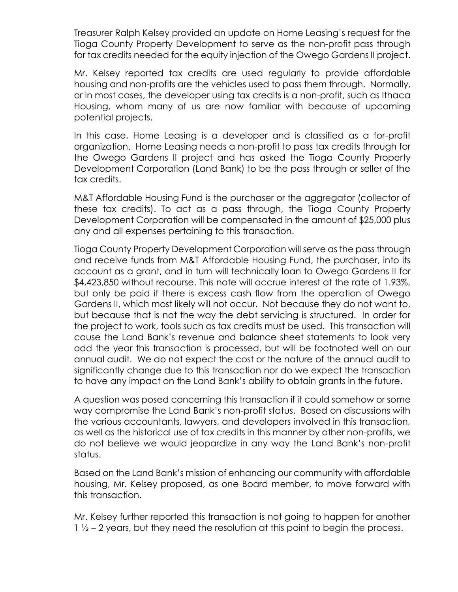Treasurer Ralph Kelsey provided an update on Home Leasing's request for the Tioga County Property Development to serve as the non-profit pass through for tax credits needed for the equity injection of the Owego Gardens II project.

Mr. Kelsey reported tax credits are used regularly to provide affordable housing and non-profits are the vehicles used to pass them through. Normally, or in most cases, the developer using tax credits is a non-profit, such as Ithaca Housing, whom many of us are now familiar with because of upcoming potential projects.

In this case, Home Leasing is a developer and is classified as a for-profit organization. Home Leasing needs a non-profit to pass tax credits through for the Owego Gardens II project and has asked the Tioga County Property Development Corporation (Land Bank) to be the pass through or seller of the tax credits.

M&T Affordable Housing Fund is the purchaser or the aggregator (collector of these tax credits). To act as a pass through, the Tioga County Property Development Corporation will be compensated in the amount of \$25,000 plus any and all expenses pertaining to this transaction.

Tioga County Property Development Corporation will serve as the pass through and receive funds from M&T Affordable Housing Fund, the purchaser, into its account as a grant, and in turn will technically loan to Owego Gardens II for \$4,423,850 without recourse. This note will accrue interest at the rate of 1.93%, but only be paid if there is excess cash flow from the operation of Owego Gardens II, which most likely will not occur. Not because they do not want to, but because that is not the way the debt servicing is structured. In order for the project to work, tools such as tax credits must be used. This transaction will cause the Land Bank's revenue and balance sheet statements to look very odd the year this transaction is processed, but will be footnoted well on our annual audit. We do not expect the cost or the nature of the annual audit to significantly change due to this transaction nor do we expect the transaction to have any impact on the Land Bank's ability to obtain grants in the future.

A question was posed concerning this transaction if it could somehow or some way compromise the Land Bank's non-profit status. Based on discussions with the various accountants, lawyers, and developers involved in this transaction, as well as the historical use of tax credits in this manner by other non-profits, we do not believe we would jeopardize in any way the Land Bank's non-profit status.

Based on the Land Bank's mission of enhancing our community with affordable housing, Mr. Kelsey proposed, as one Board member, to move forward with this transaction.

Mr. Kelsey further reported this transaction is not going to happen for another  $1\frac{1}{2}$  – 2 years, but they need the resolution at this point to begin the process.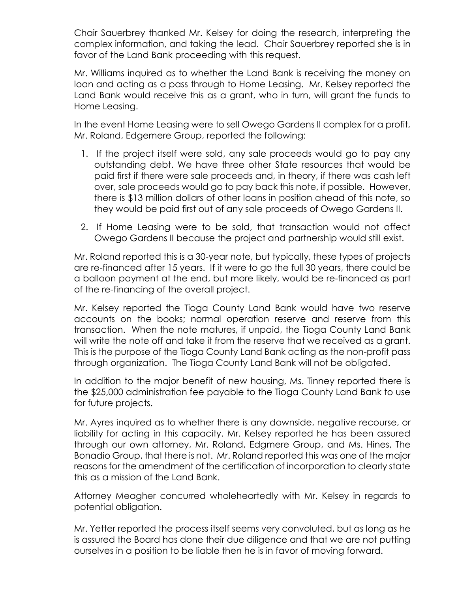Chair Sauerbrey thanked Mr. Kelsey for doing the research, interpreting the complex information, and taking the lead. Chair Sauerbrey reported she is in favor of the Land Bank proceeding with this request.

Mr. Williams inquired as to whether the Land Bank is receiving the money on loan and acting as a pass through to Home Leasing. Mr. Kelsey reported the Land Bank would receive this as a grant, who in turn, will grant the funds to Home Leasing.

In the event Home Leasing were to sell Owego Gardens II complex for a profit, Mr. Roland, Edgemere Group, reported the following:

- 1. If the project itself were sold, any sale proceeds would go to pay any outstanding debt. We have three other State resources that would be paid first if there were sale proceeds and, in theory, if there was cash left over, sale proceeds would go to pay back this note, if possible. However, there is \$13 million dollars of other loans in position ahead of this note, so they would be paid first out of any sale proceeds of Owego Gardens II.
- 2. If Home Leasing were to be sold, that transaction would not affect Owego Gardens II because the project and partnership would still exist.

Mr. Roland reported this is a 30-year note, but typically, these types of projects are re-financed after 15 years. If it were to go the full 30 years, there could be a balloon payment at the end, but more likely, would be re-financed as part of the re-financing of the overall project.

Mr. Kelsey reported the Tioga County Land Bank would have two reserve accounts on the books; normal operation reserve and reserve from this transaction. When the note matures, if unpaid, the Tioga County Land Bank will write the note off and take it from the reserve that we received as a grant. This is the purpose of the Tioga County Land Bank acting as the non-profit pass through organization. The Tioga County Land Bank will not be obligated.

In addition to the major benefit of new housing, Ms. Tinney reported there is the \$25,000 administration fee payable to the Tioga County Land Bank to use for future projects.

Mr. Ayres inquired as to whether there is any downside, negative recourse, or liability for acting in this capacity. Mr. Kelsey reported he has been assured through our own attorney, Mr. Roland, Edgmere Group, and Ms. Hines, The Bonadio Group, that there is not. Mr. Roland reported this was one of the major reasons for the amendment of the certification of incorporation to clearly state this as a mission of the Land Bank.

Attorney Meagher concurred wholeheartedly with Mr. Kelsey in regards to potential obligation.

Mr. Yetter reported the process itself seems very convoluted, but as long as he is assured the Board has done their due diligence and that we are not putting ourselves in a position to be liable then he is in favor of moving forward.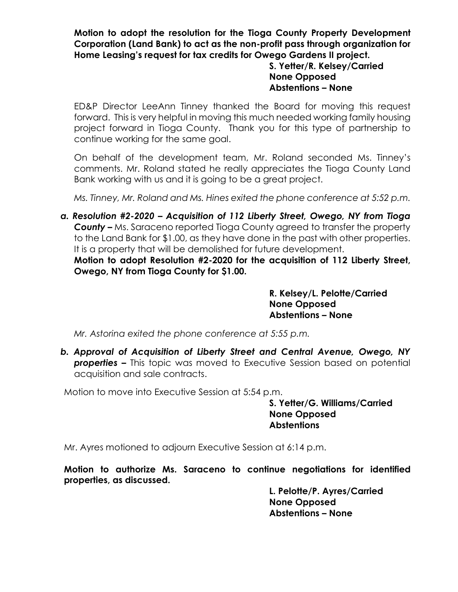**Motion to adopt the resolution for the Tioga County Property Development Corporation (Land Bank) to act as the non-profit pass through organization for Home Leasing's request for tax credits for Owego Gardens II project.** 

# **S. Yetter/R. Kelsey/Carried None Opposed Abstentions – None**

ED&P Director LeeAnn Tinney thanked the Board for moving this request forward. This is very helpful in moving this much needed working family housing project forward in Tioga County. Thank you for this type of partnership to continue working for the same goal.

On behalf of the development team, Mr. Roland seconded Ms. Tinney's comments. Mr. Roland stated he really appreciates the Tioga County Land Bank working with us and it is going to be a great project.

*Ms. Tinney, Mr. Roland and Ms. Hines exited the phone conference at 5:52 p.m.* 

*a. Resolution #2-2020 – Acquisition of 112 Liberty Street, Owego, NY from Tioga County –* Ms. Saraceno reported Tioga County agreed to transfer the property to the Land Bank for \$1.00, as they have done in the past with other properties. It is a property that will be demolished for future development.

**Motion to adopt Resolution #2-2020 for the acquisition of 112 Liberty Street, Owego, NY from Tioga County for \$1.00.** 

> **R. Kelsey/L. Pelotte/Carried None Opposed Abstentions – None**

*Mr. Astorina exited the phone conference at 5:55 p.m.* 

*b. Approval of Acquisition of Liberty Street and Central Avenue, Owego, NY* **properties –** This topic was moved to Executive Session based on potential acquisition and sale contracts.

Motion to move into Executive Session at 5:54 p.m.

**S. Yetter/G. Williams/Carried None Opposed Abstentions**

Mr. Ayres motioned to adjourn Executive Session at 6:14 p.m.

**Motion to authorize Ms. Saraceno to continue negotiations for identified properties, as discussed.** 

> **L. Pelotte/P. Ayres/Carried None Opposed Abstentions – None**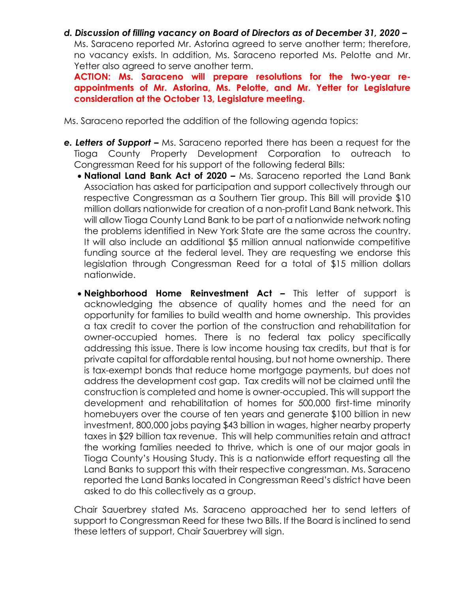*d. Discussion of filling vacancy on Board of Directors as of December 31, 2020 –* Ms. Saraceno reported Mr. Astorina agreed to serve another term; therefore, no vacancy exists. In addition, Ms. Saraceno reported Ms. Pelotte and Mr. Yetter also agreed to serve another term.

**ACTION: Ms. Saraceno will prepare resolutions for the two-year reappointments of Mr. Astorina, Ms. Pelotte, and Mr. Yetter for Legislature consideration at the October 13, Legislature meeting.** 

Ms. Saraceno reported the addition of the following agenda topics:

- *e. Letters of Support –* Ms. Saraceno reported there has been a request for the Tioga County Property Development Corporation to outreach to Congressman Reed for his support of the following federal Bills:
	- **National Land Bank Act of 2020 –** Ms. Saraceno reported the Land Bank Association has asked for participation and support collectively through our respective Congressman as a Southern Tier group. This Bill will provide \$10 million dollars nationwide for creation of a non-profit Land Bank network. This will allow Tioga County Land Bank to be part of a nationwide network noting the problems identified in New York State are the same across the country. It will also include an additional \$5 million annual nationwide competitive funding source at the federal level. They are requesting we endorse this legislation through Congressman Reed for a total of \$15 million dollars nationwide.
	- **Neighborhood Home Reinvestment Act –** This letter of support is acknowledging the absence of quality homes and the need for an opportunity for families to build wealth and home ownership. This provides a tax credit to cover the portion of the construction and rehabilitation for owner-occupied homes. There is no federal tax policy specifically addressing this issue. There is low income housing tax credits, but that is for private capital for affordable rental housing, but not home ownership. There is tax-exempt bonds that reduce home mortgage payments, but does not address the development cost gap. Tax credits will not be claimed until the construction is completed and home is owner-occupied. This will support the development and rehabilitation of homes for 500,000 first-time minority homebuyers over the course of ten years and generate \$100 billion in new investment, 800,000 jobs paying \$43 billion in wages, higher nearby property taxes in \$29 billion tax revenue. This will help communities retain and attract the working families needed to thrive, which is one of our major goals in Tioga County's Housing Study. This is a nationwide effort requesting all the Land Banks to support this with their respective congressman. Ms. Saraceno reported the Land Banks located in Congressman Reed's district have been asked to do this collectively as a group.

Chair Sauerbrey stated Ms. Saraceno approached her to send letters of support to Congressman Reed for these two Bills. If the Board is inclined to send these letters of support, Chair Sauerbrey will sign.